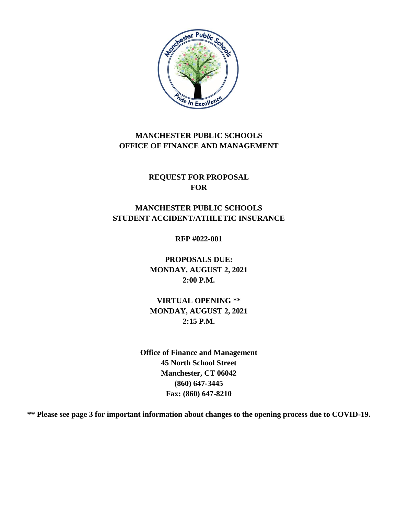

# **MANCHESTER PUBLIC SCHOOLS OFFICE OF FINANCE AND MANAGEMENT**

**REQUEST FOR PROPOSAL FOR**

# **MANCHESTER PUBLIC SCHOOLS STUDENT ACCIDENT/ATHLETIC INSURANCE**

**RFP #022-001**

**PROPOSALS DUE: MONDAY, AUGUST 2, 2021 2:00 P.M.**

**VIRTUAL OPENING \*\* MONDAY, AUGUST 2, 2021 2:15 P.M.**

**Office of Finance and Management 45 North School Street Manchester, CT 06042 (860) 647-3445 Fax: (860) 647-8210**

**\*\* Please see page 3 for important information about changes to the opening process due to COVID-19.**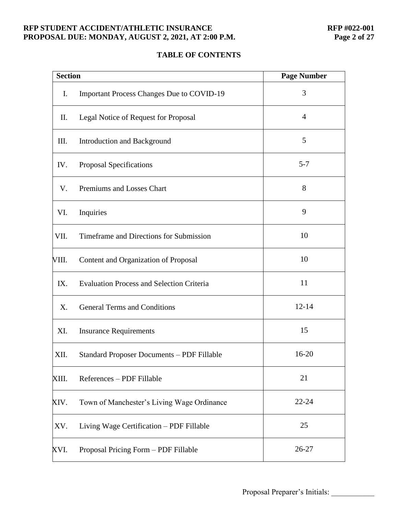#### **RFP STUDENT ACCIDENT/ATHLETIC INSURANCE<br>
PROPOSAL DUE: MONDAY, AUGUST 2, 2021, AT 2:00 P.M. Page 2 of 27** PROPOSAL DUE: MONDAY, AUGUST 2, 2021, AT 2:00 P.M.

# **TABLE OF CONTENTS**

| <b>Section</b> |                                                   | <b>Page Number</b> |
|----------------|---------------------------------------------------|--------------------|
| I.             | <b>Important Process Changes Due to COVID-19</b>  | 3                  |
| П.             | Legal Notice of Request for Proposal              | 4                  |
| III.           | <b>Introduction and Background</b>                | 5                  |
| IV.            | Proposal Specifications                           | $5 - 7$            |
| V.             | Premiums and Losses Chart                         | 8                  |
| VI.            | Inquiries                                         | 9                  |
| VII.           | Timeframe and Directions for Submission           | 10                 |
| VIII.          | Content and Organization of Proposal              | 10                 |
| IX.            | <b>Evaluation Process and Selection Criteria</b>  | 11                 |
| X.             | <b>General Terms and Conditions</b>               | $12 - 14$          |
| XI.            | <b>Insurance Requirements</b>                     | 15                 |
| XII.           | <b>Standard Proposer Documents - PDF Fillable</b> | 16-20              |
| XIII.          | References - PDF Fillable                         | 21                 |
| XIV.           | Town of Manchester's Living Wage Ordinance        | $22 - 24$          |
| XV.            | Living Wage Certification - PDF Fillable          | 25                 |
| XVI.           | Proposal Pricing Form - PDF Fillable              | 26-27              |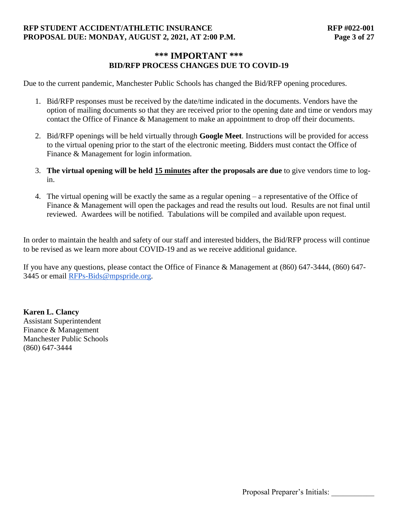## **RFP STUDENT ACCIDENT/ATHLETIC INSURANCE RFP #022-001 PROPOSAL DUE: MONDAY, AUGUST 2, 2021, AT 2:00 P.M. Page 3 of 27**

## **\*\*\* IMPORTANT \*\*\* BID/RFP PROCESS CHANGES DUE TO COVID-19**

Due to the current pandemic, Manchester Public Schools has changed the Bid/RFP opening procedures.

- 1. Bid/RFP responses must be received by the date/time indicated in the documents. Vendors have the option of mailing documents so that they are received prior to the opening date and time or vendors may contact the Office of Finance & Management to make an appointment to drop off their documents.
- 2. Bid/RFP openings will be held virtually through **Google Meet**. Instructions will be provided for access to the virtual opening prior to the start of the electronic meeting. Bidders must contact the Office of Finance & Management for login information.
- 3. **The virtual opening will be held 15 minutes after the proposals are due** to give vendors time to login.
- 4. The virtual opening will be exactly the same as a regular opening a representative of the Office of Finance & Management will open the packages and read the results out loud. Results are not final until reviewed. Awardees will be notified. Tabulations will be compiled and available upon request.

In order to maintain the health and safety of our staff and interested bidders, the Bid/RFP process will continue to be revised as we learn more about COVID-19 and as we receive additional guidance.

If you have any questions, please contact the Office of Finance & Management at (860) 647-3444, (860) 647- 3445 or email [RFPs-Bids@mpspride.org.](mailto:RFP-BIDS@mpspride.org)

**Karen L. Clancy** Assistant Superintendent Finance & Management Manchester Public Schools (860) 647-3444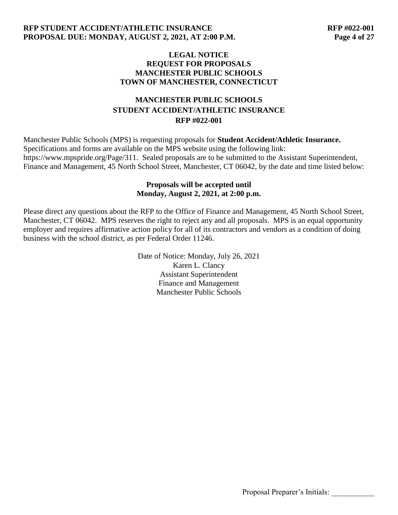#### **LEGAL NOTICE REQUEST FOR PROPOSALS MANCHESTER PUBLIC SCHOOLS TOWN OF MANCHESTER, CONNECTICUT**

# **MANCHESTER PUBLIC SCHOOLS STUDENT ACCIDENT/ATHLETIC INSURANCE RFP #022-001**

Manchester Public Schools (MPS) is requesting proposals for **Student Accident/Athletic Insurance.** Specifications and forms are available on the MPS website using the following link: https://www.mpspride.org/Page/311. Sealed proposals are to be submitted to the Assistant Superintendent, Finance and Management, 45 North School Street, Manchester, CT 06042, by the date and time listed below:

#### **Proposals will be accepted until Monday, August 2, 2021, at 2:00 p.m.**

Please direct any questions about the RFP to the Office of Finance and Management, 45 North School Street, Manchester, CT 06042. MPS reserves the right to reject any and all proposals. MPS is an equal opportunity employer and requires affirmative action policy for all of its contractors and vendors as a condition of doing business with the school district, as per Federal Order 11246.

> Date of Notice: Monday, July 26, 2021 Karen L. Clancy Assistant Superintendent Finance and Management Manchester Public Schools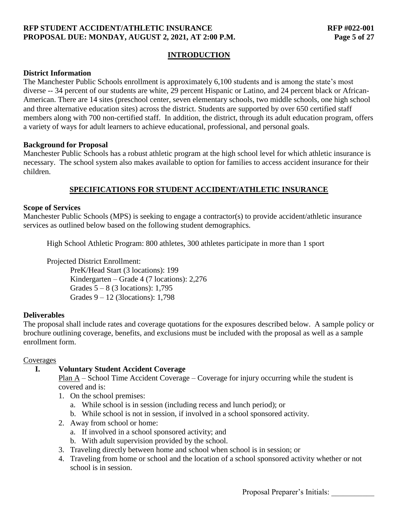## **RFP STUDENT ACCIDENT/ATHLETIC INSURANCE RFP #022-001 PROPOSAL DUE: MONDAY, AUGUST 2, 2021, AT 2:00 P.M. Page 5 of 27**

## **INTRODUCTION**

#### **District Information**

The Manchester Public Schools enrollment is approximately 6,100 students and is among the state's most diverse -- 34 percent of our students are white, 29 percent Hispanic or Latino, and 24 percent black or African-American. There are 14 sites (preschool center, seven elementary schools, two middle schools, one high school and three alternative education sites) across the district. Students are supported by over 650 certified staff members along with 700 non-certified staff. In addition, the district, through its adult education program, offers a variety of ways for adult learners to achieve educational, professional, and personal goals.

#### **Background for Proposal**

Manchester Public Schools has a robust athletic program at the high school level for which athletic insurance is necessary. The school system also makes available to option for families to access accident insurance for their children.

# **SPECIFICATIONS FOR STUDENT ACCIDENT/ATHLETIC INSURANCE**

## **Scope of Services**

Manchester Public Schools (MPS) is seeking to engage a contractor(s) to provide accident/athletic insurance services as outlined below based on the following student demographics.

High School Athletic Program: 800 athletes, 300 athletes participate in more than 1 sport

Projected District Enrollment:

PreK/Head Start (3 locations): 199 Kindergarten – Grade 4 (7 locations): 2,276 Grades  $5 - 8$  (3 locations): 1,795 Grades 9 – 12 (3locations): 1,798

## **Deliverables**

The proposal shall include rates and coverage quotations for the exposures described below. A sample policy or brochure outlining coverage, benefits, and exclusions must be included with the proposal as well as a sample enrollment form.

#### Coverages

## **I. Voluntary Student Accident Coverage**

Plan A – School Time Accident Coverage – Coverage for injury occurring while the student is covered and is:

- 1. On the school premises:
	- a. While school is in session (including recess and lunch period); or
	- b. While school is not in session, if involved in a school sponsored activity.
- 2. Away from school or home:
	- a. If involved in a school sponsored activity; and
	- b. With adult supervision provided by the school.
- 3. Traveling directly between home and school when school is in session; or
- 4. Traveling from home or school and the location of a school sponsored activity whether or not school is in session.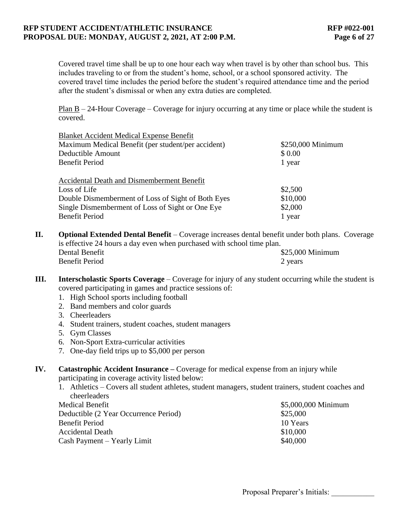#### **RFP STUDENT ACCIDENT/ATHLETIC INSURANCE RFP #022-001 PROPOSAL DUE: MONDAY, AUGUST 2, 2021, AT 2:00 P.M. Page 6 of 27**

Covered travel time shall be up to one hour each way when travel is by other than school bus. This includes traveling to or from the student's home, school, or a school sponsored activity. The covered travel time includes the period before the student's required attendance time and the period after the student's dismissal or when any extra duties are completed.

Plan  $B - 24$ -Hour Coverage – Coverage for injury occurring at any time or place while the student is covered.

| <b>Blanket Accident Medical Expense Benefit</b>    |                   |
|----------------------------------------------------|-------------------|
| Maximum Medical Benefit (per student/per accident) | \$250,000 Minimum |
| Deductible Amount                                  | \$ 0.00           |
| <b>Benefit Period</b>                              | 1 year            |
| Accidental Death and Dismemberment Benefit         |                   |
| Loss of Life                                       | \$2,500           |
| Double Dismemberment of Loss of Sight of Both Eyes | \$10,000          |
| Single Dismemberment of Loss of Sight or One Eye   | \$2,000           |
| <b>Benefit Period</b>                              | 1 year            |

- **II. Optional Extended Dental Benefit** Coverage increases dental benefit under both plans. Coverage is effective 24 hours a day even when purchased with school time plan. Dental Benefit  $$25,000$  Minimum Benefit Period 2 years 2
- **III. Interscholastic Sports Coverage** Coverage for injury of any student occurring while the student is covered participating in games and practice sessions of:
	- 1. High School sports including football
	- 2. Band members and color guards
	- 3. Cheerleaders
	- 4. Student trainers, student coaches, student managers
	- 5. Gym Classes
	- 6. Non-Sport Extra-curricular activities
	- 7. One-day field trips up to \$5,000 per person

**IV. Catastrophic Accident Insurance –** Coverage for medical expense from an injury while participating in coverage activity listed below:

1. Athletics – Covers all student athletes, student managers, student trainers, student coaches and cheerleaders

| <b>Medical Benefit</b>                | \$5,000,000 Minimum |
|---------------------------------------|---------------------|
| Deductible (2 Year Occurrence Period) | \$25,000            |
| Benefit Period                        | 10 Years            |
| <b>Accidental Death</b>               | \$10,000            |
| Cash Payment – Yearly Limit           | \$40,000            |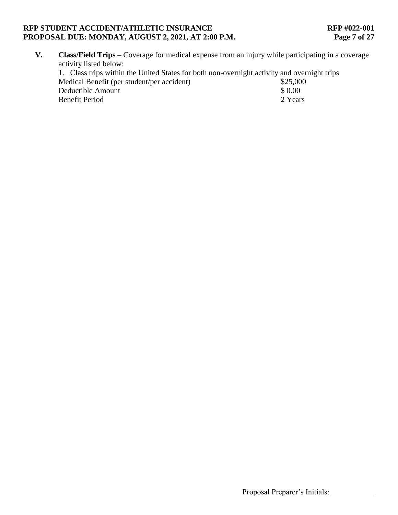### **RFP STUDENT ACCIDENT/ATHLETIC INSURANCE<br>
PROPOSAL DUE: MONDAY, AUGUST 2, 2021, AT 2:00 P.M. Page 7 of 27** PROPOSAL DUE: MONDAY, AUGUST 2, 2021, AT 2:00 P.M.

**V. Class/Field Trips** – Coverage for medical expense from an injury while participating in a coverage activity listed below:

| 1. Class trips within the United States for both non-overnight activity and overnight trips |          |
|---------------------------------------------------------------------------------------------|----------|
| Medical Benefit (per student/per accident)                                                  | \$25,000 |
| Deductible Amount                                                                           | \$0.00   |
| Benefit Period                                                                              | 2 Years  |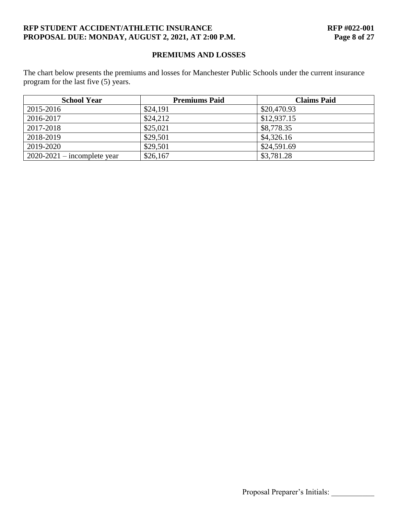## **RFP STUDENT ACCIDENT/ATHLETIC INSURANCE RFP #022-001 PROPOSAL DUE: MONDAY, AUGUST 2, 2021, AT 2:00 P.M. Page 8 of 27**

## **PREMIUMS AND LOSSES**

The chart below presents the premiums and losses for Manchester Public Schools under the current insurance program for the last five (5) years.

| <b>School Year</b>            | <b>Premiums Paid</b> | <b>Claims Paid</b> |
|-------------------------------|----------------------|--------------------|
| 2015-2016                     | \$24,191             | \$20,470.93        |
| 2016-2017                     | \$24,212             | \$12,937.15        |
| 2017-2018                     | \$25,021             | \$8,778.35         |
| 2018-2019                     | \$29,501             | \$4,326.16         |
| 2019-2020                     | \$29,501             | \$24,591.69        |
| $2020-2021$ – incomplete year | \$26,167             | \$3,781.28         |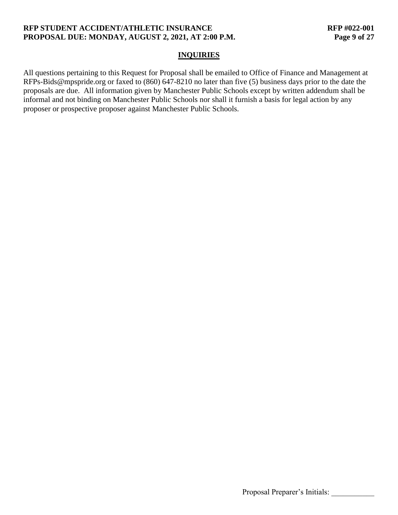## **RFP STUDENT ACCIDENT/ATHLETIC INSURANCE RFP #022-001 PROPOSAL DUE: MONDAY, AUGUST 2, 2021, AT 2:00 P.M. Page 9 of 27**

#### **INQUIRIES**

All questions pertaining to this Request for Proposal shall be emailed to Office of Finance and Management at RFPs-Bids@mpspride.org or faxed to (860) 647-8210 no later than five (5) business days prior to the date the proposals are due. All information given by Manchester Public Schools except by written addendum shall be informal and not binding on Manchester Public Schools nor shall it furnish a basis for legal action by any proposer or prospective proposer against Manchester Public Schools.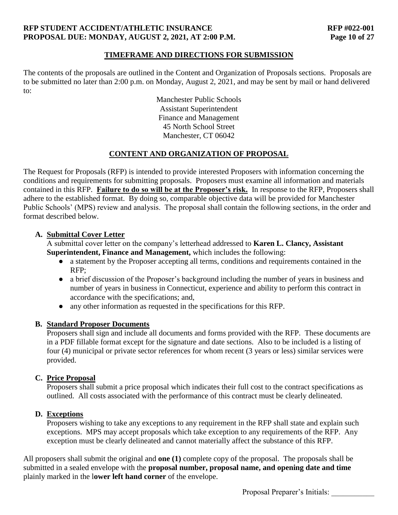## **RFP STUDENT ACCIDENT/ATHLETIC INSURANCE RFP #022-001 PROPOSAL DUE: MONDAY, AUGUST 2, 2021, AT 2:00 P.M. Page 10 of 27**

## **TIMEFRAME AND DIRECTIONS FOR SUBMISSION**

The contents of the proposals are outlined in the Content and Organization of Proposals sections. Proposals are to be submitted no later than 2:00 p.m. on Monday, August 2, 2021, and may be sent by mail or hand delivered to:

> Manchester Public Schools Assistant Superintendent Finance and Management 45 North School Street Manchester, CT 06042

## **CONTENT AND ORGANIZATION OF PROPOSAL**

The Request for Proposals (RFP) is intended to provide interested Proposers with information concerning the conditions and requirements for submitting proposals. Proposers must examine all information and materials contained in this RFP. **Failure to do so will be at the Proposer's risk.** In response to the RFP, Proposers shall adhere to the established format. By doing so, comparable objective data will be provided for Manchester Public Schools' (MPS) review and analysis. The proposal shall contain the following sections, in the order and format described below.

## **A. Submittal Cover Letter**

A submittal cover letter on the company's letterhead addressed to **Karen L. Clancy, Assistant Superintendent, Finance and Management,** which includes the following:

- a statement by the Proposer accepting all terms, conditions and requirements contained in the RFP;
- a brief discussion of the Proposer's background including the number of years in business and number of years in business in Connecticut, experience and ability to perform this contract in accordance with the specifications; and,
- any other information as requested in the specifications for this RFP.

# **B. Standard Proposer Documents**

Proposers shall sign and include all documents and forms provided with the RFP. These documents are in a PDF fillable format except for the signature and date sections. Also to be included is a listing of four (4) municipal or private sector references for whom recent (3 years or less) similar services were provided.

## **C. Price Proposal**

Proposers shall submit a price proposal which indicates their full cost to the contract specifications as outlined. All costs associated with the performance of this contract must be clearly delineated.

# **D. Exceptions**

Proposers wishing to take any exceptions to any requirement in the RFP shall state and explain such exceptions. MPS may accept proposals which take exception to any requirements of the RFP. Any exception must be clearly delineated and cannot materially affect the substance of this RFP.

All proposers shall submit the original and **one (1)** complete copy of the proposal. The proposals shall be submitted in a sealed envelope with the **proposal number, proposal name, and opening date and time** plainly marked in the l**ower left hand corner** of the envelope.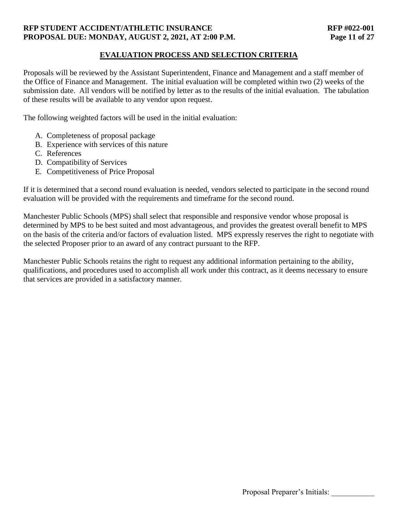## **RFP STUDENT ACCIDENT/ATHLETIC INSURANCE RFP #022-001 PROPOSAL DUE: MONDAY, AUGUST 2, 2021, AT 2:00 P.M. Page 11 of 27**

## **EVALUATION PROCESS AND SELECTION CRITERIA**

Proposals will be reviewed by the Assistant Superintendent, Finance and Management and a staff member of the Office of Finance and Management. The initial evaluation will be completed within two (2) weeks of the submission date. All vendors will be notified by letter as to the results of the initial evaluation. The tabulation of these results will be available to any vendor upon request.

The following weighted factors will be used in the initial evaluation:

- A. Completeness of proposal package
- B. Experience with services of this nature
- C. References
- D. Compatibility of Services
- E. Competitiveness of Price Proposal

If it is determined that a second round evaluation is needed, vendors selected to participate in the second round evaluation will be provided with the requirements and timeframe for the second round.

Manchester Public Schools (MPS) shall select that responsible and responsive vendor whose proposal is determined by MPS to be best suited and most advantageous, and provides the greatest overall benefit to MPS on the basis of the criteria and/or factors of evaluation listed. MPS expressly reserves the right to negotiate with the selected Proposer prior to an award of any contract pursuant to the RFP.

Manchester Public Schools retains the right to request any additional information pertaining to the ability, qualifications, and procedures used to accomplish all work under this contract, as it deems necessary to ensure that services are provided in a satisfactory manner.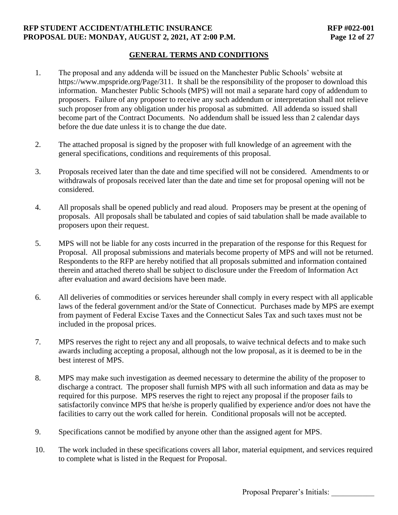## **RFP STUDENT ACCIDENT/ATHLETIC INSURANCE RFP #022-001 PROPOSAL DUE: MONDAY, AUGUST 2, 2021, AT 2:00 P.M. Page 12 of 27**

## **GENERAL TERMS AND CONDITIONS**

- 1. The proposal and any addenda will be issued on the Manchester Public Schools' website at https://www.mpspride.org/Page/311. It shall be the responsibility of the proposer to download this information. Manchester Public Schools (MPS) will not mail a separate hard copy of addendum to proposers. Failure of any proposer to receive any such addendum or interpretation shall not relieve such proposer from any obligation under his proposal as submitted. All addenda so issued shall become part of the Contract Documents. No addendum shall be issued less than 2 calendar days before the due date unless it is to change the due date.
- 2. The attached proposal is signed by the proposer with full knowledge of an agreement with the general specifications, conditions and requirements of this proposal.
- 3. Proposals received later than the date and time specified will not be considered. Amendments to or withdrawals of proposals received later than the date and time set for proposal opening will not be considered.
- 4. All proposals shall be opened publicly and read aloud. Proposers may be present at the opening of proposals. All proposals shall be tabulated and copies of said tabulation shall be made available to proposers upon their request.
- 5. MPS will not be liable for any costs incurred in the preparation of the response for this Request for Proposal. All proposal submissions and materials become property of MPS and will not be returned. Respondents to the RFP are hereby notified that all proposals submitted and information contained therein and attached thereto shall be subject to disclosure under the Freedom of Information Act after evaluation and award decisions have been made.
- 6. All deliveries of commodities or services hereunder shall comply in every respect with all applicable laws of the federal government and/or the State of Connecticut. Purchases made by MPS are exempt from payment of Federal Excise Taxes and the Connecticut Sales Tax and such taxes must not be included in the proposal prices.
- 7. MPS reserves the right to reject any and all proposals, to waive technical defects and to make such awards including accepting a proposal, although not the low proposal, as it is deemed to be in the best interest of MPS.
- 8. MPS may make such investigation as deemed necessary to determine the ability of the proposer to discharge a contract. The proposer shall furnish MPS with all such information and data as may be required for this purpose. MPS reserves the right to reject any proposal if the proposer fails to satisfactorily convince MPS that he/she is properly qualified by experience and/or does not have the facilities to carry out the work called for herein. Conditional proposals will not be accepted.
- 9. Specifications cannot be modified by anyone other than the assigned agent for MPS.
- 10. The work included in these specifications covers all labor, material equipment, and services required to complete what is listed in the Request for Proposal.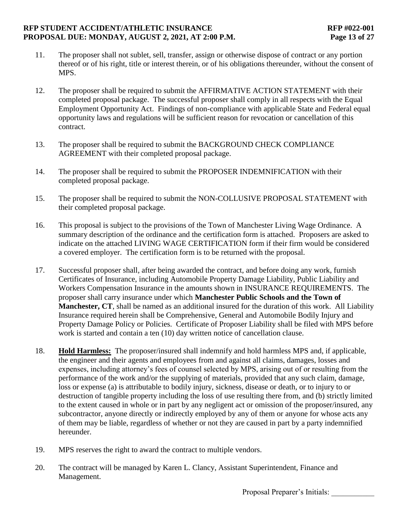#### **RFP STUDENT ACCIDENT/ATHLETIC INSURANCE RFP #022-001 PROPOSAL DUE: MONDAY, AUGUST 2, 2021, AT 2:00 P.M. Page 13 of 27**

- 11. The proposer shall not sublet, sell, transfer, assign or otherwise dispose of contract or any portion thereof or of his right, title or interest therein, or of his obligations thereunder, without the consent of MPS.
- 12. The proposer shall be required to submit the AFFIRMATIVE ACTION STATEMENT with their completed proposal package. The successful proposer shall comply in all respects with the Equal Employment Opportunity Act. Findings of non-compliance with applicable State and Federal equal opportunity laws and regulations will be sufficient reason for revocation or cancellation of this contract.
- 13. The proposer shall be required to submit the BACKGROUND CHECK COMPLIANCE AGREEMENT with their completed proposal package.
- 14. The proposer shall be required to submit the PROPOSER INDEMNIFICATION with their completed proposal package.
- 15. The proposer shall be required to submit the NON-COLLUSIVE PROPOSAL STATEMENT with their completed proposal package.
- 16. This proposal is subject to the provisions of the Town of Manchester Living Wage Ordinance. A summary description of the ordinance and the certification form is attached. Proposers are asked to indicate on the attached LIVING WAGE CERTIFICATION form if their firm would be considered a covered employer. The certification form is to be returned with the proposal.
- 17. Successful proposer shall, after being awarded the contract, and before doing any work, furnish Certificates of Insurance, including Automobile Property Damage Liability, Public Liability and Workers Compensation Insurance in the amounts shown in INSURANCE REQUIREMENTS. The proposer shall carry insurance under which **Manchester Public Schools and the Town of Manchester, CT**, shall be named as an additional insured for the duration of this work. All Liability Insurance required herein shall be Comprehensive, General and Automobile Bodily Injury and Property Damage Policy or Policies. Certificate of Proposer Liability shall be filed with MPS before work is started and contain a ten (10) day written notice of cancellation clause.
- 18. **Hold Harmless:** The proposer/insured shall indemnify and hold harmless MPS and, if applicable, the engineer and their agents and employees from and against all claims, damages, losses and expenses, including attorney's fees of counsel selected by MPS, arising out of or resulting from the performance of the work and/or the supplying of materials, provided that any such claim, damage, loss or expense (a) is attributable to bodily injury, sickness, disease or death, or to injury to or destruction of tangible property including the loss of use resulting there from, and (b) strictly limited to the extent caused in whole or in part by any negligent act or omission of the proposer/insured, any subcontractor, anyone directly or indirectly employed by any of them or anyone for whose acts any of them may be liable, regardless of whether or not they are caused in part by a party indemnified hereunder.
- 19. MPS reserves the right to award the contract to multiple vendors.
- 20. The contract will be managed by Karen L. Clancy, Assistant Superintendent, Finance and Management.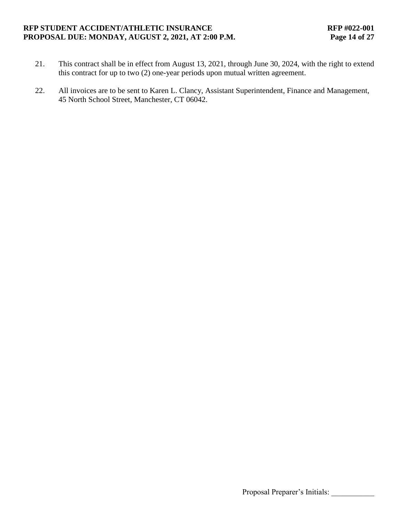#### **RFP STUDENT ACCIDENT/ATHLETIC INSURANCE RFP #022-001 PROPOSAL DUE: MONDAY, AUGUST 2, 2021, AT 2:00 P.M. Page 14 of 27**

- 21. This contract shall be in effect from August 13, 2021, through June 30, 2024, with the right to extend this contract for up to two (2) one-year periods upon mutual written agreement.
- 22. All invoices are to be sent to Karen L. Clancy, Assistant Superintendent, Finance and Management, 45 North School Street, Manchester, CT 06042.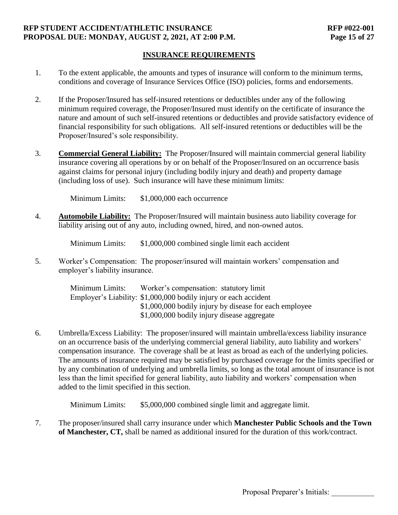#### **RFP STUDENT ACCIDENT/ATHLETIC INSURANCE RFP #022-001 PROPOSAL DUE: MONDAY, AUGUST 2, 2021, AT 2:00 P.M. Page 15 of 27**

## **INSURANCE REQUIREMENTS**

- 1. To the extent applicable, the amounts and types of insurance will conform to the minimum terms, conditions and coverage of Insurance Services Office (ISO) policies, forms and endorsements.
- 2. If the Proposer/Insured has self-insured retentions or deductibles under any of the following minimum required coverage, the Proposer/Insured must identify on the certificate of insurance the nature and amount of such self-insured retentions or deductibles and provide satisfactory evidence of financial responsibility for such obligations. All self-insured retentions or deductibles will be the Proposer/Insured's sole responsibility.
- 3. **Commercial General Liability:** The Proposer/Insured will maintain commercial general liability insurance covering all operations by or on behalf of the Proposer/Insured on an occurrence basis against claims for personal injury (including bodily injury and death) and property damage (including loss of use). Such insurance will have these minimum limits:

Minimum Limits: \$1,000,000 each occurrence

4. **Automobile Liability:** The Proposer/Insured will maintain business auto liability coverage for liability arising out of any auto, including owned, hired, and non-owned autos.

Minimum Limits:  $$1,000,000$  combined single limit each accident

5. Worker's Compensation: The proposer/insured will maintain workers' compensation and employer's liability insurance.

> Minimum Limits: Worker's compensation: statutory limit Employer's Liability: \$1,000,000 bodily injury or each accident \$1,000,000 bodily injury by disease for each employee \$1,000,000 bodily injury disease aggregate

6. Umbrella/Excess Liability: The proposer/insured will maintain umbrella/excess liability insurance on an occurrence basis of the underlying commercial general liability, auto liability and workers' compensation insurance. The coverage shall be at least as broad as each of the underlying policies. The amounts of insurance required may be satisfied by purchased coverage for the limits specified or by any combination of underlying and umbrella limits, so long as the total amount of insurance is not less than the limit specified for general liability, auto liability and workers' compensation when added to the limit specified in this section.

Minimum Limits:  $$5,000,000$  combined single limit and aggregate limit.

7. The proposer/insured shall carry insurance under which **Manchester Public Schools and the Town of Manchester, CT,** shall be named as additional insured for the duration of this work/contract.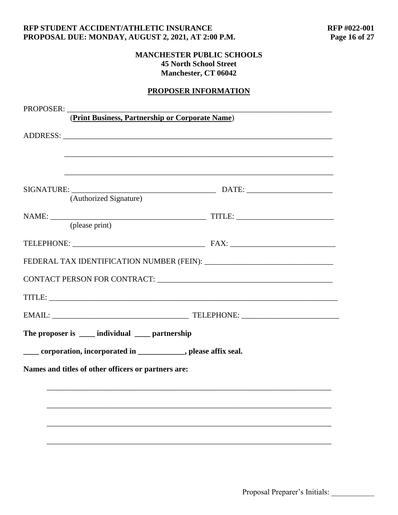#### **RFP STUDENT ACCIDENT/ATHLETIC INSURANCE<br>
PROPOSAL DUE: MONDAY, AUGUST 2, 2021, AT 2:00 P.M. Page 16 of 27** PROPOSAL DUE: MONDAY, AUGUST 2, 2021, AT 2:00 P.M.

## **MANCHESTER PUBLIC SCHOOLS 45 North School Street Manchester, CT 06042**

# **PROPOSER INFORMATION**

| PROPOSER: |                                                     |                                                                                                                |  |
|-----------|-----------------------------------------------------|----------------------------------------------------------------------------------------------------------------|--|
|           |                                                     | (Print Business, Partnership or Corporate Name)                                                                |  |
|           |                                                     | ,我们也不能在这里的时候,我们也不能在这里的时候,我们也不能会在这里的时候,我们也不能会在这里的时候,我们也不能会在这里的时候,我们也不能会在这里的时候,我们也不                              |  |
|           |                                                     |                                                                                                                |  |
|           |                                                     |                                                                                                                |  |
|           | (please print)                                      |                                                                                                                |  |
|           |                                                     |                                                                                                                |  |
|           |                                                     |                                                                                                                |  |
|           |                                                     | CONTACT PERSON FOR CONTRACT: University of the contract of the contract of the contract of the contract of the |  |
|           |                                                     |                                                                                                                |  |
|           |                                                     |                                                                                                                |  |
|           | The proposer is _____ individual _____ partnership  |                                                                                                                |  |
|           |                                                     | _____ corporation, incorporated in _____________, please affix seal.                                           |  |
|           | Names and titles of other officers or partners are: |                                                                                                                |  |
|           |                                                     |                                                                                                                |  |
|           |                                                     |                                                                                                                |  |
|           |                                                     |                                                                                                                |  |
|           |                                                     |                                                                                                                |  |
|           |                                                     |                                                                                                                |  |
|           |                                                     |                                                                                                                |  |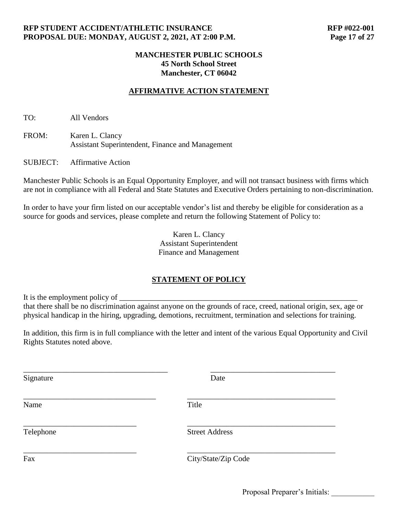# **AFFIRMATIVE ACTION STATEMENT**

TO: All Vendors

FROM: Karen L. Clancy Assistant Superintendent, Finance and Management

SUBJECT: Affirmative Action

Manchester Public Schools is an Equal Opportunity Employer, and will not transact business with firms which are not in compliance with all Federal and State Statutes and Executive Orders pertaining to non-discrimination.

In order to have your firm listed on our acceptable vendor's list and thereby be eligible for consideration as a source for goods and services, please complete and return the following Statement of Policy to:

> Karen L. Clancy Assistant Superintendent Finance and Management

## **STATEMENT OF POLICY**

It is the employment policy of that there shall be no discrimination against anyone on the grounds of race, creed, national origin, sex, age or physical handicap in the hiring, upgrading, demotions, recruitment, termination and selections for training.

In addition, this firm is in full compliance with the letter and intent of the various Equal Opportunity and Civil Rights Statutes noted above.

| Signature | Date                  |
|-----------|-----------------------|
| Name      | Title                 |
| Telephone | <b>Street Address</b> |
| Fax       | City/State/Zip Code   |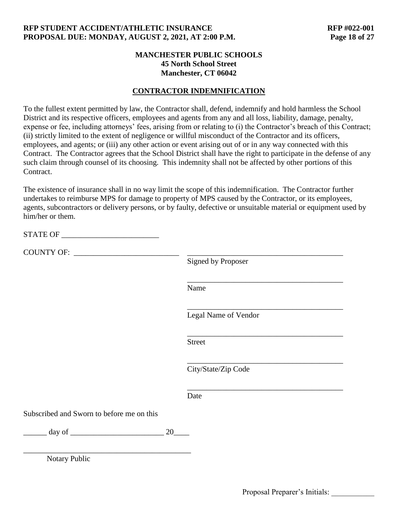## **CONTRACTOR INDEMNIFICATION**

To the fullest extent permitted by law, the Contractor shall, defend, indemnify and hold harmless the School District and its respective officers, employees and agents from any and all loss, liability, damage, penalty, expense or fee, including attorneys' fees, arising from or relating to (i) the Contractor's breach of this Contract; (ii) strictly limited to the extent of negligence or willful misconduct of the Contractor and its officers, employees, and agents; or (iii) any other action or event arising out of or in any way connected with this Contract. The Contractor agrees that the School District shall have the right to participate in the defense of any such claim through counsel of its choosing. This indemnity shall not be affected by other portions of this Contract.

The existence of insurance shall in no way limit the scope of this indemnification. The Contractor further undertakes to reimburse MPS for damage to property of MPS caused by the Contractor, or its employees, agents, subcontractors or delivery persons, or by faulty, defective or unsuitable material or equipment used by him/her or them.

STATE OF \_\_\_\_\_\_\_\_\_\_\_\_\_\_\_\_\_\_\_\_\_\_\_\_\_

COUNTY OF: \_\_\_\_\_\_\_\_\_\_\_\_\_\_\_\_\_\_\_\_\_\_\_\_\_\_\_ \_\_\_\_\_\_\_\_\_\_\_\_\_\_\_\_\_\_\_\_\_\_\_\_\_\_\_\_\_\_\_\_\_\_\_\_\_\_\_\_

Signed by Proposer

Name

Legal Name of Vendor

\_\_\_\_\_\_\_\_\_\_\_\_\_\_\_\_\_\_\_\_\_\_\_\_\_\_\_\_\_\_\_\_\_\_\_\_\_\_\_\_

\_\_\_\_\_\_\_\_\_\_\_\_\_\_\_\_\_\_\_\_\_\_\_\_\_\_\_\_\_\_\_\_\_\_\_\_\_\_\_\_

\_\_\_\_\_\_\_\_\_\_\_\_\_\_\_\_\_\_\_\_\_\_\_\_\_\_\_\_\_\_\_\_\_\_\_\_\_\_\_\_

\_\_\_\_\_\_\_\_\_\_\_\_\_\_\_\_\_\_\_\_\_\_\_\_\_\_\_\_\_\_\_\_\_\_\_\_\_\_\_\_

\_\_\_\_\_\_\_\_\_\_\_\_\_\_\_\_\_\_\_\_\_\_\_\_\_\_\_\_\_\_\_\_\_\_\_\_\_\_\_\_

Street

City/State/Zip Code

**Date** 

Subscribed and Sworn to before me on this

 $\frac{day \text{ of } }{20}$ 

\_\_\_\_\_\_\_\_\_\_\_\_\_\_\_\_\_\_\_\_\_\_\_\_\_\_\_\_\_\_\_\_\_\_\_\_\_\_\_\_\_\_\_

Notary Public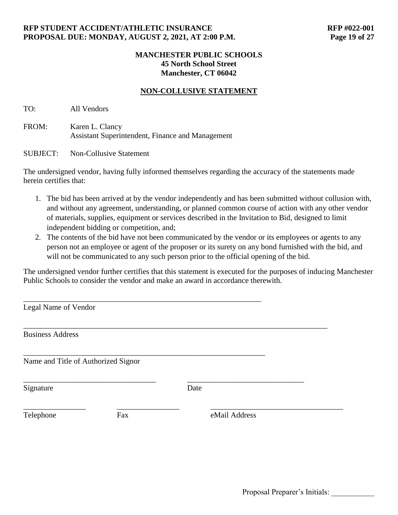## **NON-COLLUSIVE STATEMENT**

TO: All Vendors

FROM: Karen L. Clancy Assistant Superintendent, Finance and Management

SUBJECT: Non-Collusive Statement

The undersigned vendor, having fully informed themselves regarding the accuracy of the statements made herein certifies that:

- 1. The bid has been arrived at by the vendor independently and has been submitted without collusion with, and without any agreement, understanding, or planned common course of action with any other vendor of materials, supplies, equipment or services described in the Invitation to Bid, designed to limit independent bidding or competition, and;
- 2. The contents of the bid have not been communicated by the vendor or its employees or agents to any person not an employee or agent of the proposer or its surety on any bond furnished with the bid, and will not be communicated to any such person prior to the official opening of the bid.

The undersigned vendor further certifies that this statement is executed for the purposes of inducing Manchester Public Schools to consider the vendor and make an award in accordance therewith.

| Legal Name of Vendor                |     |               |  |
|-------------------------------------|-----|---------------|--|
| <b>Business Address</b>             |     |               |  |
| Name and Title of Authorized Signor |     |               |  |
| Signature                           |     | Date          |  |
| Telephone                           | Fax | eMail Address |  |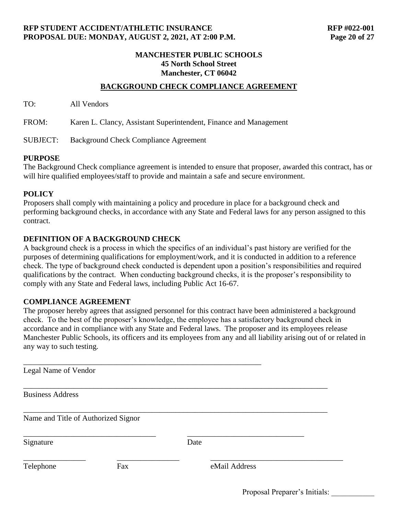## **BACKGROUND CHECK COMPLIANCE AGREEMENT**

TO: All Vendors

FROM: Karen L. Clancy, Assistant Superintendent, Finance and Management

SUBJECT: Background Check Compliance Agreement

#### **PURPOSE**

The Background Check compliance agreement is intended to ensure that proposer, awarded this contract, has or will hire qualified employees/staff to provide and maintain a safe and secure environment.

#### **POLICY**

Proposers shall comply with maintaining a policy and procedure in place for a background check and performing background checks, in accordance with any State and Federal laws for any person assigned to this contract.

#### **DEFINITION OF A BACKGROUND CHECK**

A background check is a process in which the specifics of an individual's past history are verified for the purposes of determining qualifications for employment/work, and it is conducted in addition to a reference check. The type of background check conducted is dependent upon a position's responsibilities and required qualifications by the contract. When conducting background checks, it is the proposer's responsibility to comply with any State and Federal laws, including Public Act 16-67.

#### **COMPLIANCE AGREEMENT**

The proposer hereby agrees that assigned personnel for this contract have been administered a background check. To the best of the proposer's knowledge, the employee has a satisfactory background check in accordance and in compliance with any State and Federal laws. The proposer and its employees release Manchester Public Schools, its officers and its employees from any and all liability arising out of or related in any way to such testing.

| Legal Name of Vendor                |     |               |  |
|-------------------------------------|-----|---------------|--|
| <b>Business Address</b>             |     |               |  |
| Name and Title of Authorized Signor |     |               |  |
| Signature                           |     | Date          |  |
| Telephone                           | Fax | eMail Address |  |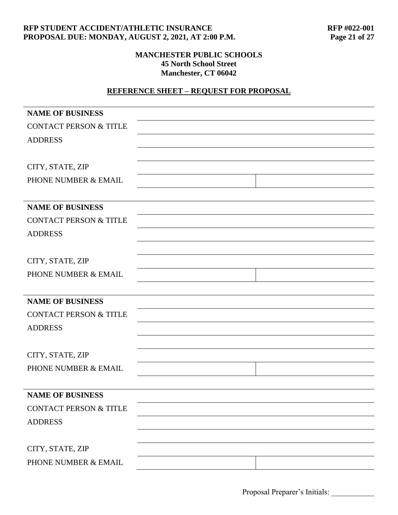#### **RFP STUDENT ACCIDENT/ATHLETIC INSURANCE<br>
PROPOSAL DUE: MONDAY, AUGUST 2, 2021, AT 2:00 P.M. Page 21 of 27** PROPOSAL DUE: MONDAY, AUGUST 2, 2021, AT 2:00 P.M.

## **MANCHESTER PUBLIC SCHOOLS 45 North School Street Manchester, CT 06042**

# **REFERENCE SHEET – REQUEST FOR PROPOSAL**

| <b>NAME OF BUSINESS</b>           |  |
|-----------------------------------|--|
| <b>CONTACT PERSON &amp; TITLE</b> |  |
| <b>ADDRESS</b>                    |  |
|                                   |  |
| CITY, STATE, ZIP                  |  |
| PHONE NUMBER & EMAIL              |  |
|                                   |  |
| <b>NAME OF BUSINESS</b>           |  |
| <b>CONTACT PERSON &amp; TITLE</b> |  |
| <b>ADDRESS</b>                    |  |
|                                   |  |
| CITY, STATE, ZIP                  |  |
| PHONE NUMBER & EMAIL              |  |
|                                   |  |
| <b>NAME OF BUSINESS</b>           |  |
| <b>CONTACT PERSON &amp; TITLE</b> |  |
| <b>ADDRESS</b>                    |  |
|                                   |  |
| CITY, STATE, ZIP                  |  |
| PHONE NUMBER & EMAIL              |  |
|                                   |  |
| <b>NAME OF BUSINESS</b>           |  |
| <b>CONTACT PERSON &amp; TITLE</b> |  |
| <b>ADDRESS</b>                    |  |
|                                   |  |
| CITY, STATE, ZIP                  |  |
| PHONE NUMBER & EMAIL              |  |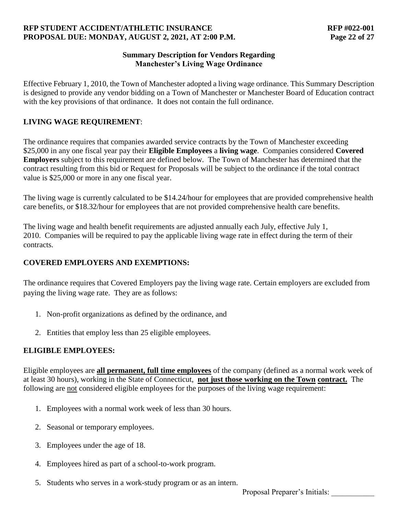## **RFP STUDENT ACCIDENT/ATHLETIC INSURANCE RFP #022-001 PROPOSAL DUE: MONDAY, AUGUST 2, 2021, AT 2:00 P.M. Page 22 of 27**

## **Summary Description for Vendors Regarding Manchester's Living Wage Ordinance**

Effective February 1, 2010, the Town of Manchester adopted a living wage ordinance. This Summary Description is designed to provide any vendor bidding on a Town of Manchester or Manchester Board of Education contract with the key provisions of that ordinance. It does not contain the full ordinance.

## **LIVING WAGE REQUIREMENT**:

The ordinance requires that companies awarded service contracts by the Town of Manchester exceeding \$25,000 in any one fiscal year pay their **Eligible Employees** a **living wage**. Companies considered **Covered Employers** subject to this requirement are defined below. The Town of Manchester has determined that the contract resulting from this bid or Request for Proposals will be subject to the ordinance if the total contract value is \$25,000 or more in any one fiscal year.

The living wage is currently calculated to be \$14.24/hour for employees that are provided comprehensive health care benefits, or \$18.32/hour for employees that are not provided comprehensive health care benefits.

The living wage and health benefit requirements are adjusted annually each July, effective July 1, 2010. Companies will be required to pay the applicable living wage rate in effect during the term of their contracts.

## **COVERED EMPLOYERS AND EXEMPTIONS:**

The ordinance requires that Covered Employers pay the living wage rate. Certain employers are excluded from paying the living wage rate. They are as follows:

- 1. Non-profit organizations as defined by the ordinance, and
- 2. Entities that employ less than 25 eligible employees.

# **ELIGIBLE EMPLOYEES:**

Eligible employees are **all permanent, full time employees** of the company (defined as a normal work week of at least 30 hours), working in the State of Connecticut, **not just those working on the Town contract.** The following are not considered eligible employees for the purposes of the living wage requirement:

- 1. Employees with a normal work week of less than 30 hours.
- 2. Seasonal or temporary employees.
- 3. Employees under the age of 18.
- 4. Employees hired as part of a school-to-work program.
- 5. Students who serves in a work-study program or as an intern.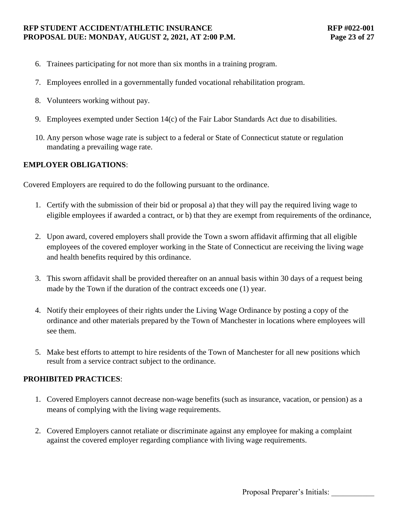#### **RFP STUDENT ACCIDENT/ATHLETIC INSURANCE RFP #022-001 PROPOSAL DUE: MONDAY, AUGUST 2, 2021, AT 2:00 P.M. Page 23 of 27**

- 6. Trainees participating for not more than six months in a training program.
- 7. Employees enrolled in a governmentally funded vocational rehabilitation program.
- 8. Volunteers working without pay.
- 9. Employees exempted under Section 14(c) of the Fair Labor Standards Act due to disabilities.
- 10. Any person whose wage rate is subject to a federal or State of Connecticut statute or regulation mandating a prevailing wage rate.

## **EMPLOYER OBLIGATIONS**:

Covered Employers are required to do the following pursuant to the ordinance.

- 1. Certify with the submission of their bid or proposal a) that they will pay the required living wage to eligible employees if awarded a contract, or b) that they are exempt from requirements of the ordinance,
- 2. Upon award, covered employers shall provide the Town a sworn affidavit affirming that all eligible employees of the covered employer working in the State of Connecticut are receiving the living wage and health benefits required by this ordinance.
- 3. This sworn affidavit shall be provided thereafter on an annual basis within 30 days of a request being made by the Town if the duration of the contract exceeds one (1) year.
- 4. Notify their employees of their rights under the Living Wage Ordinance by posting a copy of the ordinance and other materials prepared by the Town of Manchester in locations where employees will see them.
- 5. Make best efforts to attempt to hire residents of the Town of Manchester for all new positions which result from a service contract subject to the ordinance.

## **PROHIBITED PRACTICES**:

- 1. Covered Employers cannot decrease non-wage benefits (such as insurance, vacation, or pension) as a means of complying with the living wage requirements.
- 2. Covered Employers cannot retaliate or discriminate against any employee for making a complaint against the covered employer regarding compliance with living wage requirements.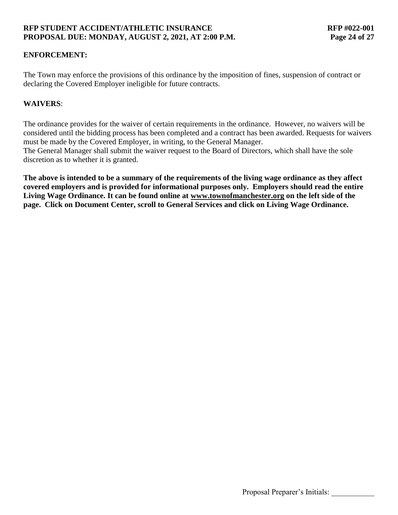## **ENFORCEMENT:**

The Town may enforce the provisions of this ordinance by the imposition of fines, suspension of contract or declaring the Covered Employer ineligible for future contracts.

## **WAIVERS**:

The ordinance provides for the waiver of certain requirements in the ordinance. However, no waivers will be considered until the bidding process has been completed and a contract has been awarded. Requests for waivers must be made by the Covered Employer, in writing, to the General Manager.

The General Manager shall submit the waiver request to the Board of Directors, which shall have the sole discretion as to whether it is granted.

**The above is intended to be a summary of the requirements of the living wage ordinance as they affect covered employers and is provided for informational purposes only. Employers should read the entire Living Wage Ordinance. It can be found online at [www.townofmanchester.org](http://www.townofmanchester.org/) [o](http://www.townofmanchester.org/)n the left side of the page. Click on Document Center, scroll to General Services and click on Living Wage Ordinance.**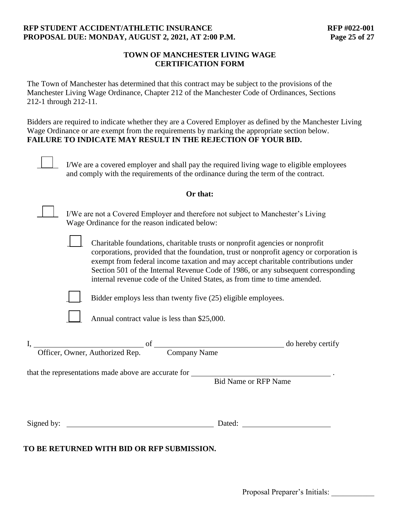### **RFP STUDENT ACCIDENT/ATHLETIC INSURANCE RFP #022-001 PROPOSAL DUE: MONDAY, AUGUST 2, 2021, AT 2:00 P.M. Page 25 of 27**

## **TOWN OF MANCHESTER LIVING WAGE CERTIFICATION FORM**

The Town of Manchester has determined that this contract may be subject to the provisions of the Manchester Living Wage Ordinance, Chapter 212 of the Manchester Code of Ordinances, Sections 212-1 through 212-11.

Bidders are required to indicate whether they are a Covered Employer as defined by the Manchester Living Wage Ordinance or are exempt from the requirements by marking the appropriate section below. **FAILURE TO INDICATE MAY RESULT IN THE REJECTION OF YOUR BID.**

|            | I/We are a covered employer and shall pay the required living wage to eligible employees<br>and comply with the requirements of the ordinance during the term of the contract.                                                                                                                                                                                                                                                 |
|------------|--------------------------------------------------------------------------------------------------------------------------------------------------------------------------------------------------------------------------------------------------------------------------------------------------------------------------------------------------------------------------------------------------------------------------------|
|            | Or that:                                                                                                                                                                                                                                                                                                                                                                                                                       |
|            | I/We are not a Covered Employer and therefore not subject to Manchester's Living<br>Wage Ordinance for the reason indicated below:                                                                                                                                                                                                                                                                                             |
|            | Charitable foundations, charitable trusts or nonprofit agencies or nonprofit<br>corporations, provided that the foundation, trust or nonprofit agency or corporation is<br>exempt from federal income taxation and may accept charitable contributions under<br>Section 501 of the Internal Revenue Code of 1986, or any subsequent corresponding<br>internal revenue code of the United States, as from time to time amended. |
|            | Bidder employs less than twenty five (25) eligible employees.                                                                                                                                                                                                                                                                                                                                                                  |
|            | Annual contract value is less than \$25,000.                                                                                                                                                                                                                                                                                                                                                                                   |
|            | Officer, Owner, Authorized Rep. <sup>of</sup> Company Name<br>do hereby certify                                                                                                                                                                                                                                                                                                                                                |
|            | that the representations made above are accurate for ____________________________<br><b>Bid Name or RFP Name</b>                                                                                                                                                                                                                                                                                                               |
| Signed by: | Dated:                                                                                                                                                                                                                                                                                                                                                                                                                         |

**TO BE RETURNED WITH BID OR RFP SUBMISSION.**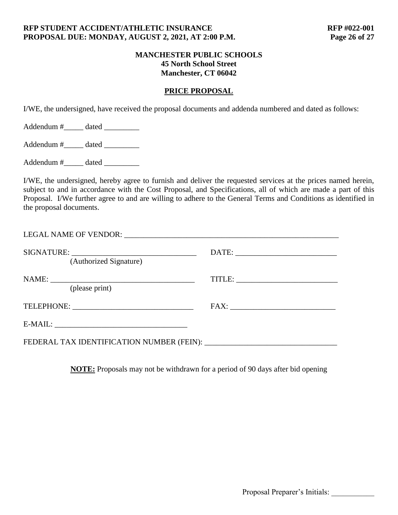## **PRICE PROPOSAL**

I/WE, the undersigned, have received the proposal documents and addenda numbered and dated as follows:

Addendum #\_\_\_\_\_ dated \_\_\_\_\_\_\_\_\_

Addendum #\_\_\_\_\_\_ dated \_\_\_\_\_\_\_\_\_

Addendum #\_\_\_\_\_\_ dated \_\_\_\_\_\_\_\_\_\_

I/WE, the undersigned, hereby agree to furnish and deliver the requested services at the prices named herein, subject to and in accordance with the Cost Proposal, and Specifications, all of which are made a part of this Proposal. I/We further agree to and are willing to adhere to the General Terms and Conditions as identified in the proposal documents.

| (Authorized Signature) |  |
|------------------------|--|
| (please print)         |  |
|                        |  |
|                        |  |
|                        |  |

**NOTE:** Proposals may not be withdrawn for a period of 90 days after bid opening